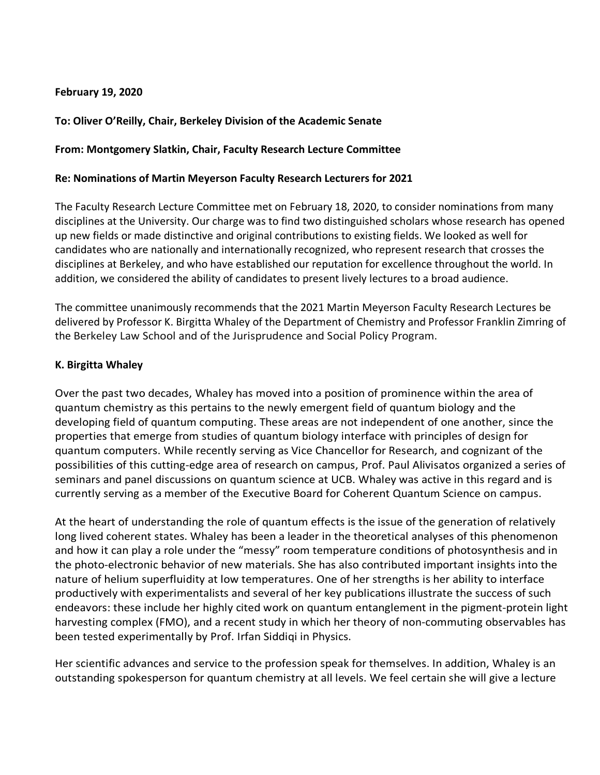### **February 19, 2020**

# **To: Oliver O'Reilly, Chair, Berkeley Division of the Academic Senate**

### **From: Montgomery Slatkin, Chair, Faculty Research Lecture Committee**

#### **Re: Nominations of Martin Meyerson Faculty Research Lecturers for 2021**

The Faculty Research Lecture Committee met on February 18, 2020, to consider nominations from many disciplines at the University. Our charge was to find two distinguished scholars whose research has opened up new fields or made distinctive and original contributions to existing fields. We looked as well for candidates who are nationally and internationally recognized, who represent research that crosses the disciplines at Berkeley, and who have established our reputation for excellence throughout the world. In addition, we considered the ability of candidates to present lively lectures to a broad audience.

The committee unanimously recommends that the 2021 Martin Meyerson Faculty Research Lectures be delivered by Professor K. Birgitta Whaley of the Department of Chemistry and Professor Franklin Zimring of the Berkeley Law School and of the Jurisprudence and Social Policy Program.

## **K. Birgitta Whaley**

Over the past two decades, Whaley has moved into a position of prominence within the area of quantum chemistry as this pertains to the newly emergent field of quantum biology and the developing field of quantum computing. These areas are not independent of one another, since the properties that emerge from studies of quantum biology interface with principles of design for quantum computers. While recently serving as Vice Chancellor for Research, and cognizant of the possibilities of this cutting-edge area of research on campus, Prof. Paul Alivisatos organized a series of seminars and panel discussions on quantum science at UCB. Whaley was active in this regard and is currently serving as a member of the Executive Board for Coherent Quantum Science on campus.

At the heart of understanding the role of quantum effects is the issue of the generation of relatively long lived coherent states. Whaley has been a leader in the theoretical analyses of this phenomenon and how it can play a role under the "messy" room temperature conditions of photosynthesis and in the photo-electronic behavior of new materials. She has also contributed important insights into the nature of helium superfluidity at low temperatures. One of her strengths is her ability to interface productively with experimentalists and several of her key publications illustrate the success of such endeavors: these include her highly cited work on quantum entanglement in the pigment-protein light harvesting complex (FMO), and a recent study in which her theory of non-commuting observables has been tested experimentally by Prof. Irfan Siddiqi in Physics.

Her scientific advances and service to the profession speak for themselves. In addition, Whaley is an outstanding spokesperson for quantum chemistry at all levels. We feel certain she will give a lecture